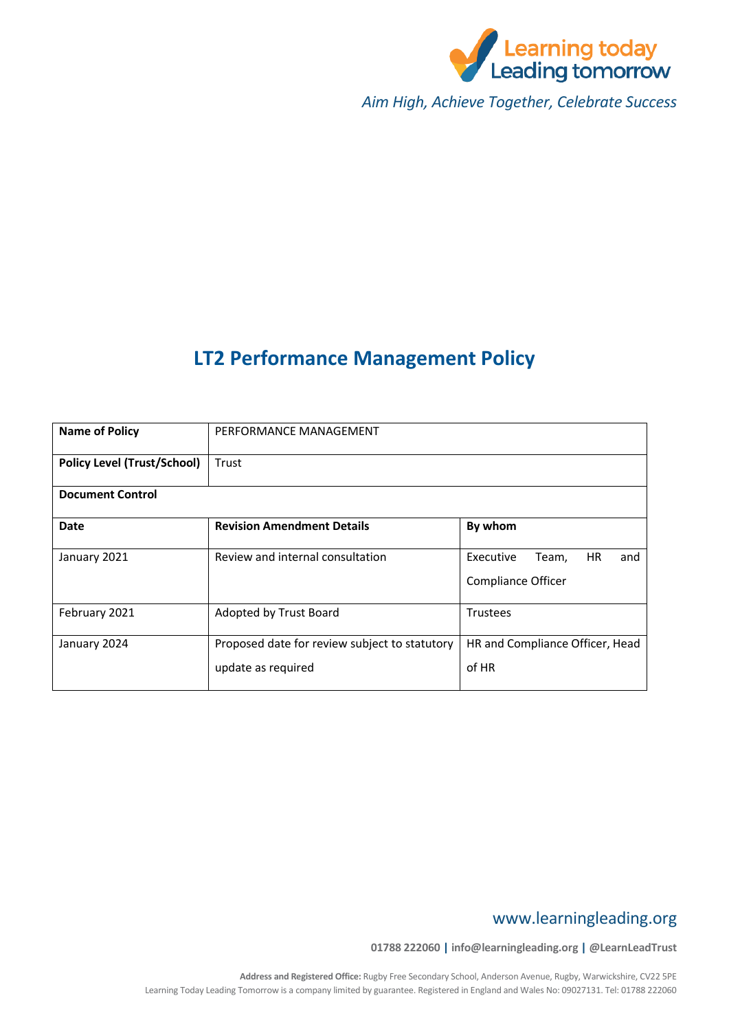

*Aim High, Achieve Together, Celebrate Success*

# **LT2 Performance Management Policy**

| <b>Name of Policy</b>              | PERFORMANCE MANAGEMENT                                              |                                                                     |  |
|------------------------------------|---------------------------------------------------------------------|---------------------------------------------------------------------|--|
| <b>Policy Level (Trust/School)</b> | Trust                                                               |                                                                     |  |
| <b>Document Control</b>            |                                                                     |                                                                     |  |
| Date                               | <b>Revision Amendment Details</b>                                   | By whom                                                             |  |
| January 2021                       | Review and internal consultation                                    | <b>HR</b><br>Executive<br>Team,<br>and<br><b>Compliance Officer</b> |  |
| February 2021                      | Adopted by Trust Board                                              | <b>Trustees</b>                                                     |  |
| January 2024                       | Proposed date for review subject to statutory<br>update as required | HR and Compliance Officer, Head<br>of HR                            |  |

# www.learningleading.org

**01788 222060 | info@learningleading.org | @LearnLeadTrust**

**Address and Registered Office:** Rugby Free Secondary School, Anderson Avenue, Rugby, Warwickshire, CV22 5PE Learning Today Leading Tomorrow is a company limited by guarantee. Registered in England and Wales No: 09027131. Tel: 01788 222060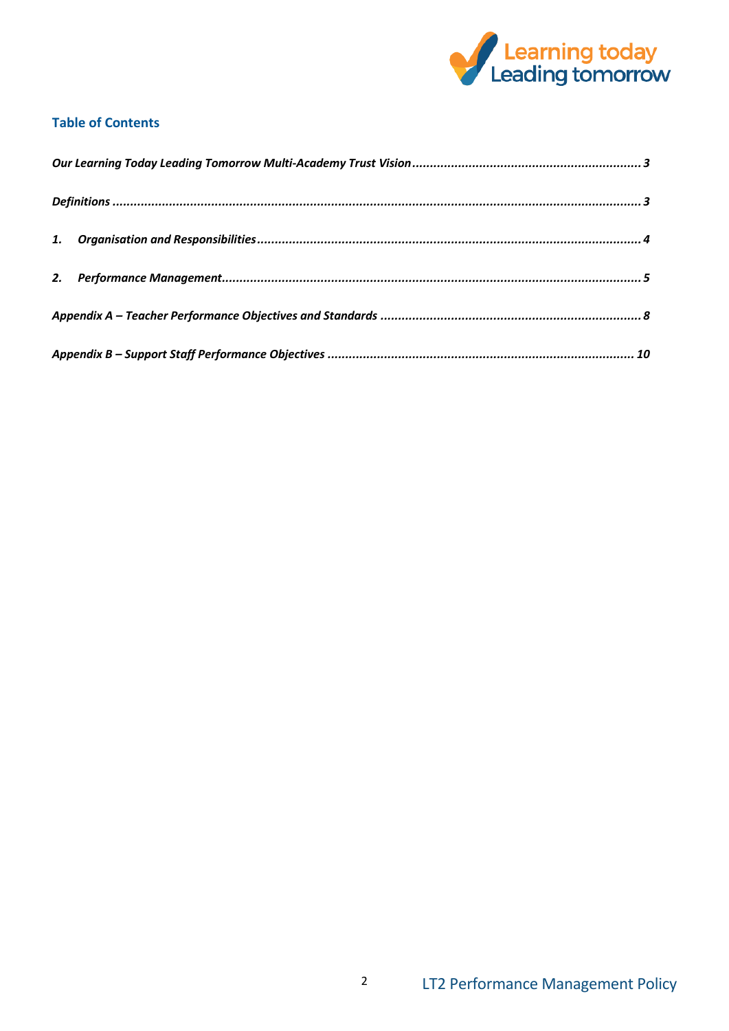

# **Table of Contents**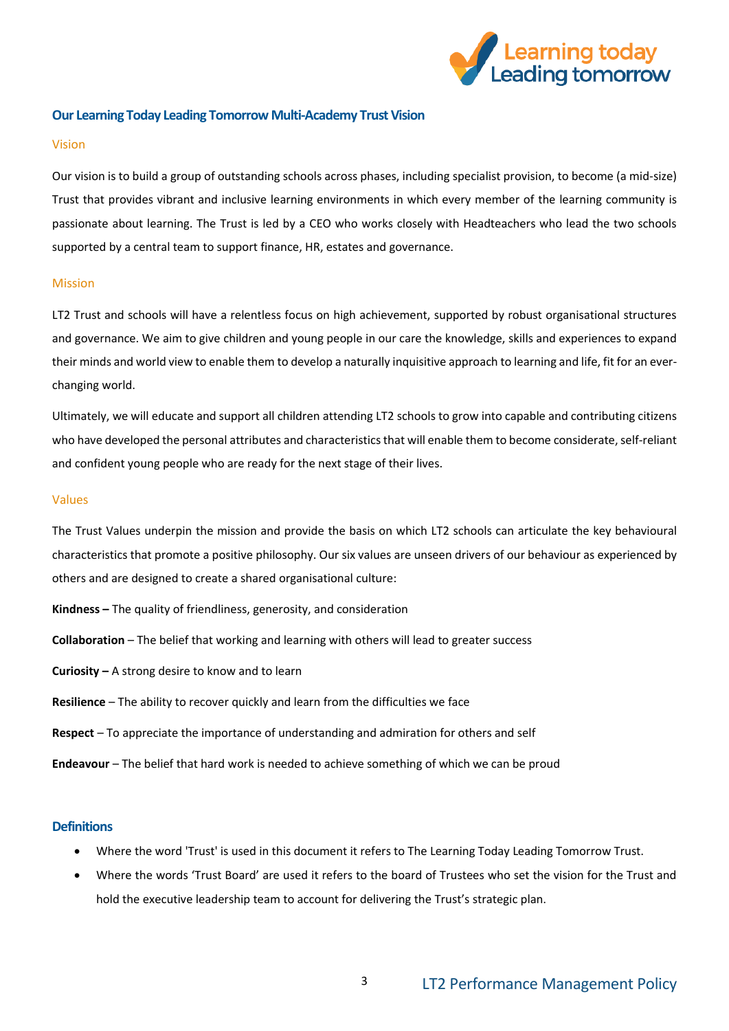

### <span id="page-2-0"></span>**Our Learning Today Leading Tomorrow Multi-Academy Trust Vision**

#### Vision

Our vision is to build a group of outstanding schools across phases, including specialist provision, to become (a mid-size) Trust that provides vibrant and inclusive learning environments in which every member of the learning community is passionate about learning. The Trust is led by a CEO who works closely with Headteachers who lead the two schools supported by a central team to support finance, HR, estates and governance.

#### Mission

LT2 Trust and schools will have a relentless focus on high achievement, supported by robust organisational structures and governance. We aim to give children and young people in our care the knowledge, skills and experiences to expand their minds and world view to enable them to develop a naturally inquisitive approach to learning and life, fit for an everchanging world.

Ultimately, we will educate and support all children attending LT2 schools to grow into capable and contributing citizens who have developed the personal attributes and characteristics that will enable them to become considerate, self-reliant and confident young people who are ready for the next stage of their lives.

#### Values

The Trust Values underpin the mission and provide the basis on which LT2 schools can articulate the key behavioural characteristics that promote a positive philosophy. Our six values are unseen drivers of our behaviour as experienced by others and are designed to create a shared organisational culture:

- **Kindness –** The quality of friendliness, generosity, and consideration
- **Collaboration** The belief that working and learning with others will lead to greater success
- **Curiosity –** A strong desire to know and to learn
- **Resilience** The ability to recover quickly and learn from the difficulties we face
- **Respect** To appreciate the importance of understanding and admiration for others and self
- **Endeavour** The belief that hard work is needed to achieve something of which we can be proud

#### <span id="page-2-1"></span>**Definitions**

- Where the word 'Trust' is used in this document it refers to The Learning Today Leading Tomorrow Trust.
- Where the words 'Trust Board' are used it refers to the board of Trustees who set the vision for the Trust and hold the executive leadership team to account for delivering the Trust's strategic plan.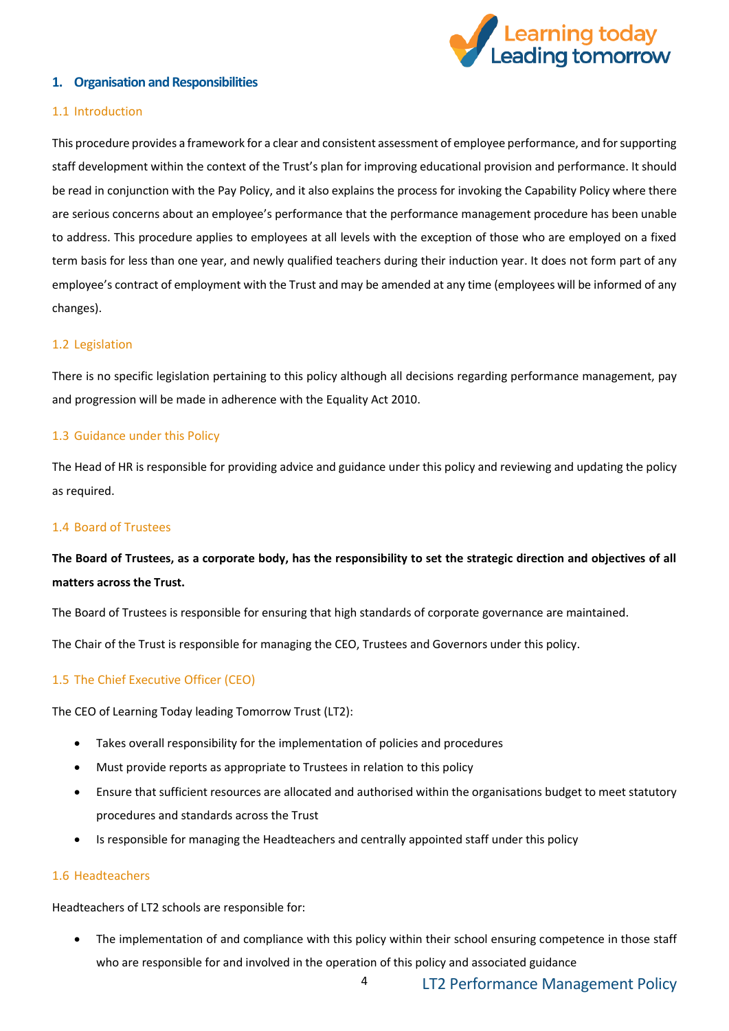

# <span id="page-3-0"></span>**1. Organisation and Responsibilities**

# 1.1 Introduction

This procedure provides a framework for a clear and consistent assessment of employee performance, and for supporting staff development within the context of the Trust's plan for improving educational provision and performance. It should be read in conjunction with the Pay Policy, and it also explains the process for invoking the Capability Policy where there are serious concerns about an employee's performance that the performance management procedure has been unable to address. This procedure applies to employees at all levels with the exception of those who are employed on a fixed term basis for less than one year, and newly qualified teachers during their induction year. It does not form part of any employee's contract of employment with the Trust and may be amended at any time (employees will be informed of any changes).

# 1.2 Legislation

There is no specific legislation pertaining to this policy although all decisions regarding performance management, pay and progression will be made in adherence with the Equality Act 2010.

### 1.3 Guidance under this Policy

The Head of HR is responsible for providing advice and guidance under this policy and reviewing and updating the policy as required.

#### 1.4 Board of Trustees

# **The Board of Trustees, as a corporate body, has the responsibility to set the strategic direction and objectives of all matters across the Trust.**

The Board of Trustees is responsible for ensuring that high standards of corporate governance are maintained.

The Chair of the Trust is responsible for managing the CEO, Trustees and Governors under this policy.

# 1.5 The Chief Executive Officer (CEO)

The CEO of Learning Today leading Tomorrow Trust (LT2):

- Takes overall responsibility for the implementation of policies and procedures
- Must provide reports as appropriate to Trustees in relation to this policy
- Ensure that sufficient resources are allocated and authorised within the organisations budget to meet statutory procedures and standards across the Trust
- Is responsible for managing the Headteachers and centrally appointed staff under this policy

#### 1.6 Headteachers

Headteachers of LT2 schools are responsible for:

 The implementation of and compliance with this policy within their school ensuring competence in those staff who are responsible for and involved in the operation of this policy and associated guidance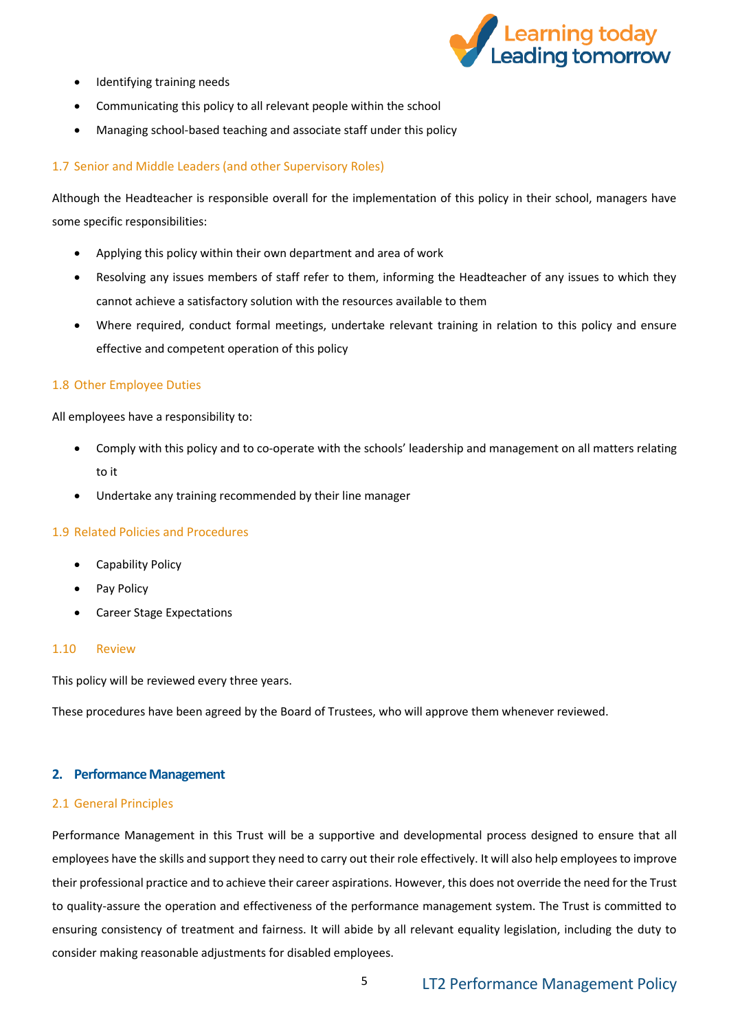

- Identifying training needs
- Communicating this policy to all relevant people within the school
- Managing school-based teaching and associate staff under this policy

# 1.7 Senior and Middle Leaders (and other Supervisory Roles)

Although the Headteacher is responsible overall for the implementation of this policy in their school, managers have some specific responsibilities:

- Applying this policy within their own department and area of work
- Resolving any issues members of staff refer to them, informing the Headteacher of any issues to which they cannot achieve a satisfactory solution with the resources available to them
- Where required, conduct formal meetings, undertake relevant training in relation to this policy and ensure effective and competent operation of this policy

# 1.8 Other Employee Duties

All employees have a responsibility to:

- Comply with this policy and to co-operate with the schools' leadership and management on all matters relating to it
- Undertake any training recommended by their line manager

#### 1.9 Related Policies and Procedures

- Capability Policy
- Pay Policy
- Career Stage Expectations

#### 1.10 Review

This policy will be reviewed every three years.

These procedures have been agreed by the Board of Trustees, who will approve them whenever reviewed.

#### <span id="page-4-0"></span>**2. Performance Management**

#### 2.1 General Principles

Performance Management in this Trust will be a supportive and developmental process designed to ensure that all employees have the skills and support they need to carry out their role effectively. It will also help employees to improve their professional practice and to achieve their career aspirations. However, this does not override the need for the Trust to quality-assure the operation and effectiveness of the performance management system. The Trust is committed to ensuring consistency of treatment and fairness. It will abide by all relevant equality legislation, including the duty to consider making reasonable adjustments for disabled employees.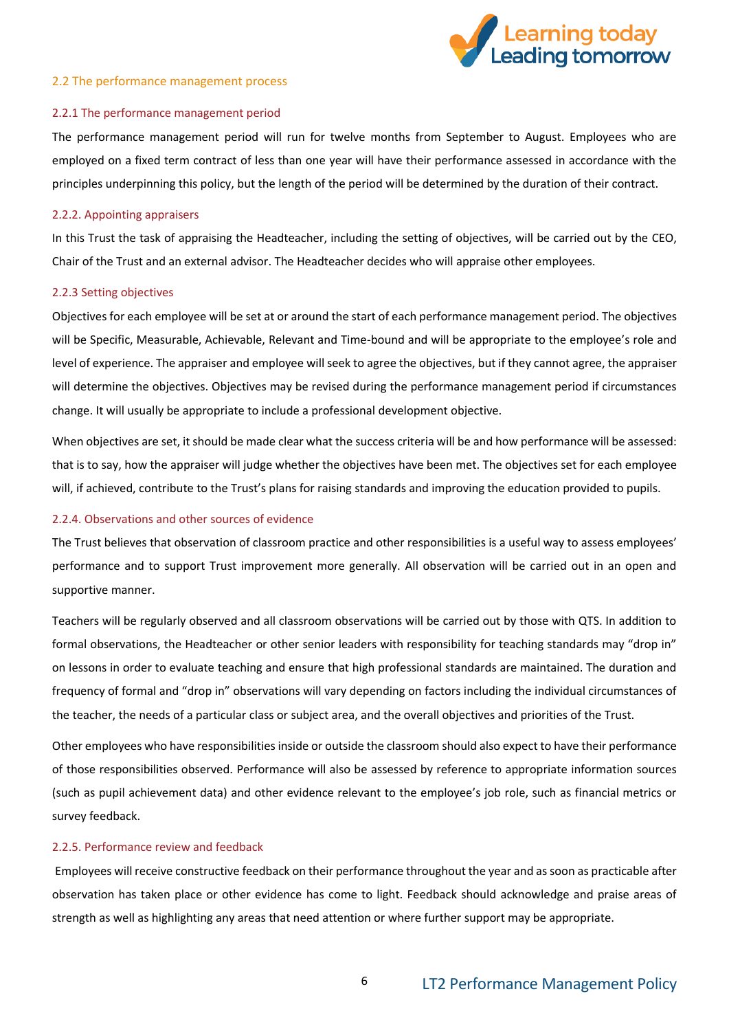

#### 2.2 The performance management process

#### 2.2.1 The performance management period

The performance management period will run for twelve months from September to August. Employees who are employed on a fixed term contract of less than one year will have their performance assessed in accordance with the principles underpinning this policy, but the length of the period will be determined by the duration of their contract.

#### 2.2.2. Appointing appraisers

In this Trust the task of appraising the Headteacher, including the setting of objectives, will be carried out by the CEO, Chair of the Trust and an external advisor. The Headteacher decides who will appraise other employees.

#### 2.2.3 Setting objectives

Objectives for each employee will be set at or around the start of each performance management period. The objectives will be Specific, Measurable, Achievable, Relevant and Time-bound and will be appropriate to the employee's role and level of experience. The appraiser and employee will seek to agree the objectives, but if they cannot agree, the appraiser will determine the objectives. Objectives may be revised during the performance management period if circumstances change. It will usually be appropriate to include a professional development objective.

When objectives are set, it should be made clear what the success criteria will be and how performance will be assessed: that is to say, how the appraiser will judge whether the objectives have been met. The objectives set for each employee will, if achieved, contribute to the Trust's plans for raising standards and improving the education provided to pupils.

#### 2.2.4. Observations and other sources of evidence

The Trust believes that observation of classroom practice and other responsibilities is a useful way to assess employees' performance and to support Trust improvement more generally. All observation will be carried out in an open and supportive manner.

Teachers will be regularly observed and all classroom observations will be carried out by those with QTS. In addition to formal observations, the Headteacher or other senior leaders with responsibility for teaching standards may "drop in" on lessons in order to evaluate teaching and ensure that high professional standards are maintained. The duration and frequency of formal and "drop in" observations will vary depending on factors including the individual circumstances of the teacher, the needs of a particular class or subject area, and the overall objectives and priorities of the Trust.

Other employees who have responsibilities inside or outside the classroom should also expect to have their performance of those responsibilities observed. Performance will also be assessed by reference to appropriate information sources (such as pupil achievement data) and other evidence relevant to the employee's job role, such as financial metrics or survey feedback.

#### 2.2.5. Performance review and feedback

Employees will receive constructive feedback on their performance throughout the year and as soon as practicable after observation has taken place or other evidence has come to light. Feedback should acknowledge and praise areas of strength as well as highlighting any areas that need attention or where further support may be appropriate.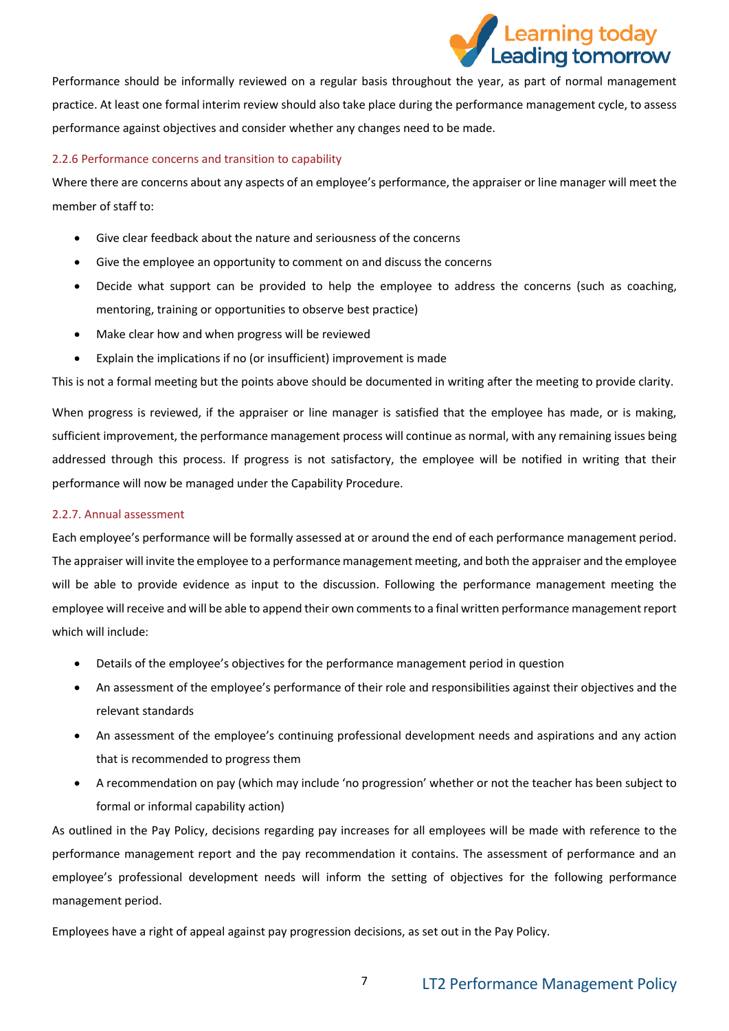

Performance should be informally reviewed on a regular basis throughout the year, as part of normal management practice. At least one formal interim review should also take place during the performance management cycle, to assess performance against objectives and consider whether any changes need to be made.

#### 2.2.6 Performance concerns and transition to capability

Where there are concerns about any aspects of an employee's performance, the appraiser or line manager will meet the member of staff to:

- Give clear feedback about the nature and seriousness of the concerns
- Give the employee an opportunity to comment on and discuss the concerns
- Decide what support can be provided to help the employee to address the concerns (such as coaching, mentoring, training or opportunities to observe best practice)
- Make clear how and when progress will be reviewed
- Explain the implications if no (or insufficient) improvement is made

This is not a formal meeting but the points above should be documented in writing after the meeting to provide clarity.

When progress is reviewed, if the appraiser or line manager is satisfied that the employee has made, or is making, sufficient improvement, the performance management process will continue as normal, with any remaining issues being addressed through this process. If progress is not satisfactory, the employee will be notified in writing that their performance will now be managed under the Capability Procedure.

#### 2.2.7. Annual assessment

Each employee's performance will be formally assessed at or around the end of each performance management period. The appraiser will invite the employee to a performance management meeting, and both the appraiser and the employee will be able to provide evidence as input to the discussion. Following the performance management meeting the employee will receive and will be able to append their own comments to a final written performance management report which will include:

- Details of the employee's objectives for the performance management period in question
- An assessment of the employee's performance of their role and responsibilities against their objectives and the relevant standards
- An assessment of the employee's continuing professional development needs and aspirations and any action that is recommended to progress them
- A recommendation on pay (which may include 'no progression' whether or not the teacher has been subject to formal or informal capability action)

As outlined in the Pay Policy, decisions regarding pay increases for all employees will be made with reference to the performance management report and the pay recommendation it contains. The assessment of performance and an employee's professional development needs will inform the setting of objectives for the following performance management period.

Employees have a right of appeal against pay progression decisions, as set out in the Pay Policy.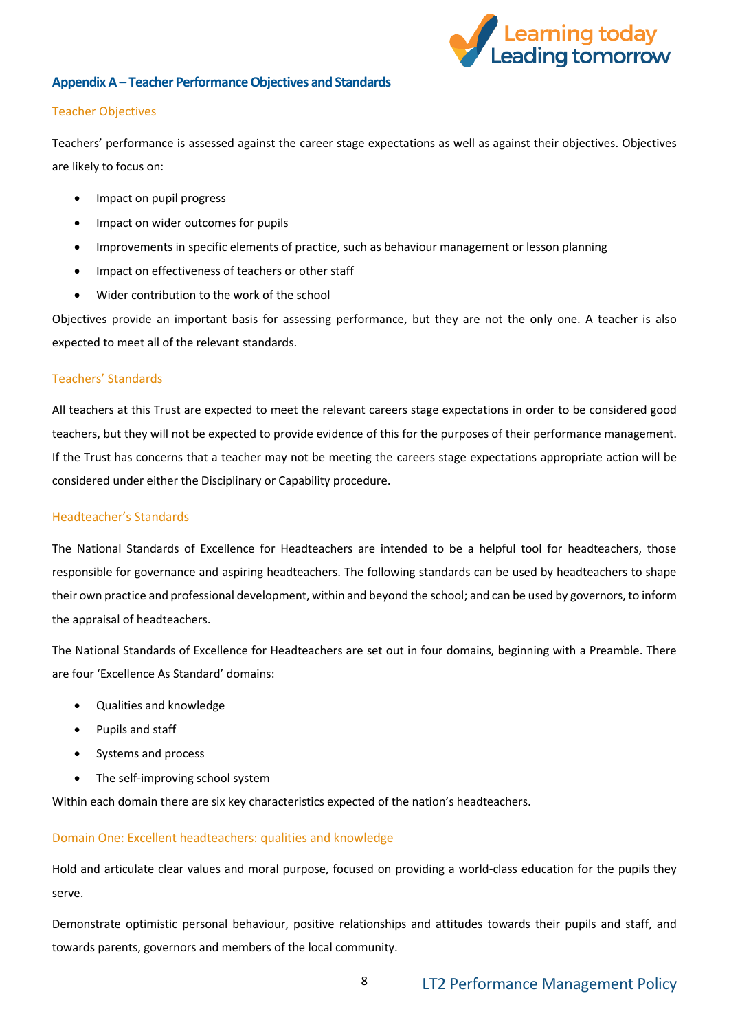

## <span id="page-7-0"></span>**Appendix A– Teacher Performance Objectives and Standards**

### Teacher Objectives

Teachers' performance is assessed against the career stage expectations as well as against their objectives. Objectives are likely to focus on:

- Impact on pupil progress
- Impact on wider outcomes for pupils
- Improvements in specific elements of practice, such as behaviour management or lesson planning
- Impact on effectiveness of teachers or other staff
- Wider contribution to the work of the school

Objectives provide an important basis for assessing performance, but they are not the only one. A teacher is also expected to meet all of the relevant standards.

#### Teachers' Standards

All teachers at this Trust are expected to meet the relevant careers stage expectations in order to be considered good teachers, but they will not be expected to provide evidence of this for the purposes of their performance management. If the Trust has concerns that a teacher may not be meeting the careers stage expectations appropriate action will be considered under either the Disciplinary or Capability procedure.

# Headteacher's Standards

The National Standards of Excellence for Headteachers are intended to be a helpful tool for headteachers, those responsible for governance and aspiring headteachers. The following standards can be used by headteachers to shape their own practice and professional development, within and beyond the school; and can be used by governors, to inform the appraisal of headteachers.

The National Standards of Excellence for Headteachers are set out in four domains, beginning with a Preamble. There are four 'Excellence As Standard' domains:

- Qualities and knowledge
- Pupils and staff
- Systems and process
- The self-improving school system

Within each domain there are six key characteristics expected of the nation's headteachers.

# Domain One: Excellent headteachers: qualities and knowledge

Hold and articulate clear values and moral purpose, focused on providing a world-class education for the pupils they serve.

Demonstrate optimistic personal behaviour, positive relationships and attitudes towards their pupils and staff, and towards parents, governors and members of the local community.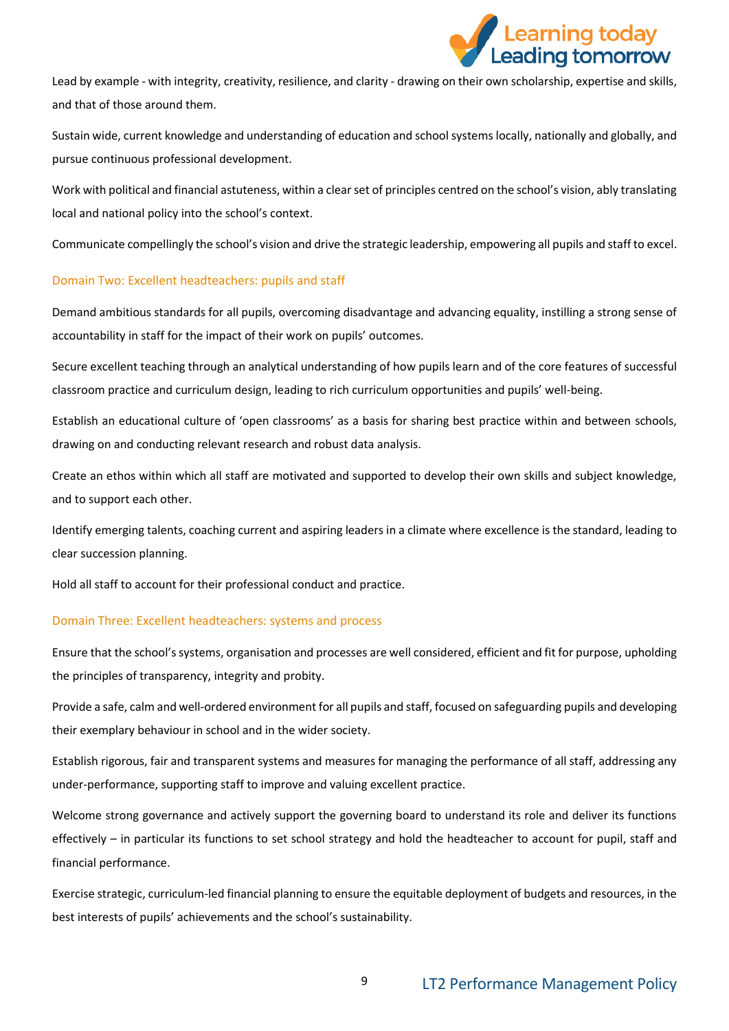

Lead by example - with integrity, creativity, resilience, and clarity - drawing on their own scholarship, expertise and skills, and that of those around them.

Sustain wide, current knowledge and understanding of education and school systems locally, nationally and globally, and pursue continuous professional development.

Work with political and financial astuteness, within a clear set of principles centred on the school's vision, ably translating local and national policy into the school's context.

Communicate compellingly the school's vision and drive the strategic leadership, empowering all pupils and staff to excel.

# Domain Two: Excellent headteachers: pupils and staff

Demand ambitious standards for all pupils, overcoming disadvantage and advancing equality, instilling a strong sense of accountability in staff for the impact of their work on pupils' outcomes.

Secure excellent teaching through an analytical understanding of how pupils learn and of the core features of successful classroom practice and curriculum design, leading to rich curriculum opportunities and pupils' well-being.

Establish an educational culture of 'open classrooms' as a basis for sharing best practice within and between schools, drawing on and conducting relevant research and robust data analysis.

Create an ethos within which all staff are motivated and supported to develop their own skills and subject knowledge, and to support each other.

Identify emerging talents, coaching current and aspiring leaders in a climate where excellence is the standard, leading to clear succession planning.

Hold all staff to account for their professional conduct and practice.

# Domain Three: Excellent headteachers: systems and process

Ensure that the school's systems, organisation and processes are well considered, efficient and fit for purpose, upholding the principles of transparency, integrity and probity.

Provide a safe, calm and well-ordered environment for all pupils and staff, focused on safeguarding pupils and developing their exemplary behaviour in school and in the wider society.

Establish rigorous, fair and transparent systems and measures for managing the performance of all staff, addressing any under-performance, supporting staff to improve and valuing excellent practice.

Welcome strong governance and actively support the governing board to understand its role and deliver its functions effectively – in particular its functions to set school strategy and hold the headteacher to account for pupil, staff and financial performance.

Exercise strategic, curriculum-led financial planning to ensure the equitable deployment of budgets and resources, in the best interests of pupils' achievements and the school's sustainability.